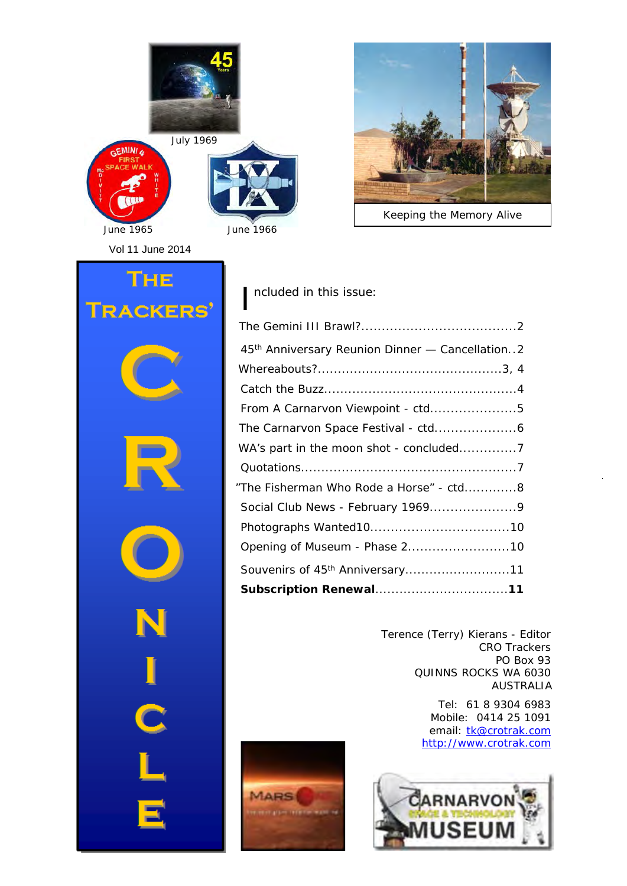



*Keeping the Memory Alive*

Vol 11 June 2014

# I ncluded in this issue:

**MARS** 

| 45th Anniversary Reunion Dinner - Cancellation2 |
|-------------------------------------------------|
|                                                 |
|                                                 |
| From A Carnarvon Viewpoint - ctd5               |
|                                                 |
|                                                 |
|                                                 |
| "The Fisherman Who Rode a Horse" - ctd8         |
|                                                 |
|                                                 |
| Opening of Museum - Phase 210                   |
| Souvenirs of 45 <sup>th</sup> Anniversary11     |
|                                                 |

Terence (Terry) Kierans - Editor CRO Trackers PO Box 93 QUINNS ROCKS WA 6030 AUSTRALIA

> Tel: 61 8 9304 6983 Mobile: 0414 25 1091 email: tk@crotrak.com http://www.crotrak.com



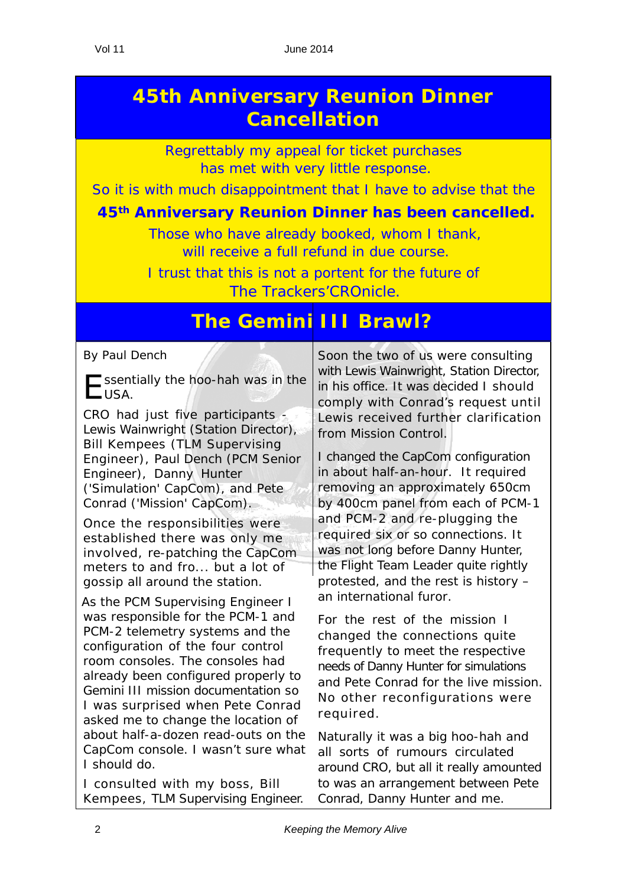## **45th Anniversary Reunion Dinner Cancellation**

Regrettably my appeal for ticket purchases has met with very little response.

So it is with much disappointment that I have to advise that the

#### **45th Anniversary Reunion Dinner has been cancelled.**

Those who have already booked, whom I thank, will receive a full refund in due course.

I trust that this is not a portent for the future of The Trackers'CROnicle.

#### **The Gemini III Brawl?**

*By Paul Dench*

 $\Box$  ssentially the hoo-hah was in the  $L$ USA.

CRO had just five participants - Lewis Wainwright (Station Director), Bill Kempees (TLM Supervising Engineer), Paul Dench (PCM Senior Engineer), Danny Hunter ('Simulation' CapCom), and Pete Conrad ('Mission' CapCom).

Once the responsibilities were established there was only me involved, re-patching the CapCom meters to and fro... but a lot of gossip all around the station.

As the PCM Supervising Engineer I was responsible for the PCM-1 and PCM-2 telemetry systems and the configuration of the four control room consoles. The consoles had already been configured properly to Gemini III mission documentation so I was surprised when Pete Conrad asked me to change the location of about half-a-dozen read-outs on the CapCom console. I wasn't sure what I should do.

I consulted with my boss, Bill Kempees, TLM Supervising Engineer. Soon the two of us were consulting with Lewis Wainwright, Station Director, in his office. It was decided I should comply with Conrad's request until Lewis received further clarification from Mission Control.

I changed the CapCom configuration in about half-an-hour. It required removing an approximately 650cm by 400cm panel from each of PCM-1 and PCM-2 and re-plugging the required six or so connections. It was not long before Danny Hunter, the Flight Team Leader quite rightly protested, and the rest is history – an international furor.

For the rest of the mission I changed the connections quite frequently to meet the respective needs of Danny Hunter for simulations and Pete Conrad for the live mission. No other reconfigurations were required.

Naturally it was a big hoo-hah and all sorts of rumours circulated around CRO, but all it really amounted to was an arrangement between Pete Conrad, Danny Hunter and me.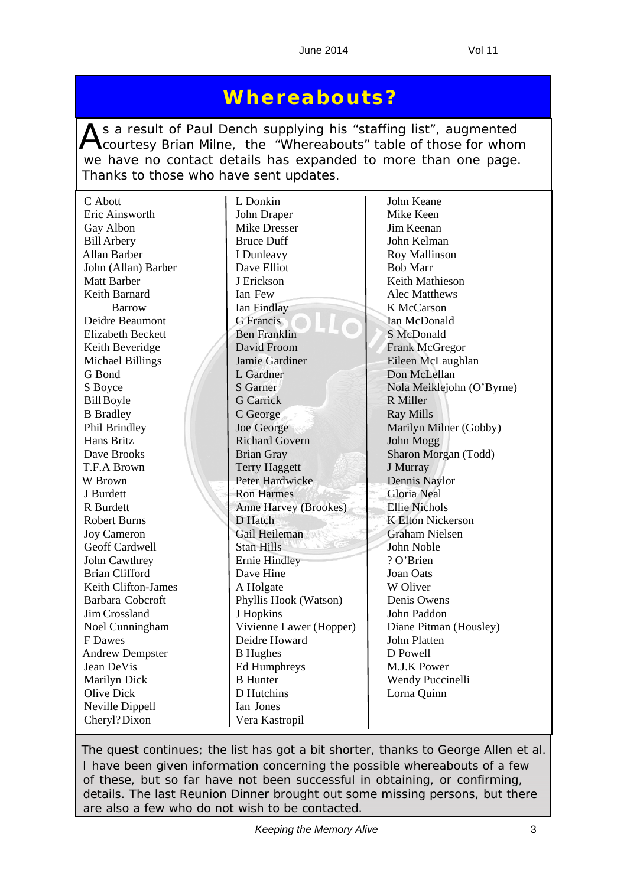#### **Whereabouts?**

As a result of Paul Dench supplying his "staffing list", augmented<br>Courtesy Brian Milne, the "Whereabouts" table of those for whom we have no contact details has expanded to more than one page. Thanks to those who have sent updates.

| C Abott                  | L Donkin                | John Keane                |
|--------------------------|-------------------------|---------------------------|
| Eric Ainsworth           | John Draper             | Mike Keen                 |
| Gay Albon                | <b>Mike Dresser</b>     | Jim Keenan                |
| <b>Bill Arbery</b>       | <b>Bruce Duff</b>       | John Kelman               |
| Allan Barber             | I Dunleavy              | Roy Mallinson             |
| John (Allan) Barber      | Dave Elliot             | <b>Bob Marr</b>           |
| <b>Matt Barber</b>       | J Erickson              | Keith Mathieson           |
| Keith Barnard            | Ian Few                 | <b>Alec Matthews</b>      |
| <b>Barrow</b>            | Ian Findlay             | K McCarson                |
| Deidre Beaumont          | <b>G</b> Francis        | Ian McDonald              |
| <b>Elizabeth Beckett</b> | <b>Ben Franklin</b>     | S McDonald                |
| Keith Beveridge          | David Froom             | <b>Frank McGregor</b>     |
| <b>Michael Billings</b>  | Jamie Gardiner          | Eileen McLaughlan         |
| G Bond                   | L Gardner               | Don McLellan              |
| S Boyce                  | <b>S</b> Garner         | Nola Meiklejohn (O'Byrne) |
| <b>Bill Boyle</b>        | <b>G</b> Carrick        | R Miller                  |
| <b>B</b> Bradley         | C George                | <b>Ray Mills</b>          |
| Phil Brindley            | Joe George              | Marilyn Milner (Gobby)    |
| Hans Britz               | <b>Richard Govern</b>   | John Mogg                 |
| Dave Brooks              | <b>Brian Gray</b>       | Sharon Morgan (Todd)      |
| T.F.A Brown              | <b>Terry Haggett</b>    | J Murray                  |
| W Brown                  | Peter Hardwicke         | Dennis Naylor             |
| J Burdett                | <b>Ron Harmes</b>       | <b>Gloria Neal</b>        |
| R Burdett                | Anne Harvey (Brookes)   | <b>Ellie Nichols</b>      |
| Robert Burns             | D Hatch                 | <b>K Elton Nickerson</b>  |
| <b>Joy Cameron</b>       | Gail Heileman           | <b>Graham Nielsen</b>     |
| Geoff Cardwell           | Stan Hills              | John Noble                |
| John Cawthrey            | <b>Ernie Hindley</b>    | ? O'Brien                 |
| <b>Brian Clifford</b>    | Dave Hine               | Joan Oats                 |
| Keith Clifton-James      | A Holgate               | W Oliver                  |
| Barbara Cobcroft         | Phyllis Hook (Watson)   | Denis Owens               |
| Jim Crossland            | J Hopkins               | John Paddon               |
| Noel Cunningham          | Vivienne Lawer (Hopper) | Diane Pitman (Housley)    |
| F Dawes                  | Deidre Howard           | John Platten              |
| <b>Andrew Dempster</b>   | <b>B</b> Hughes         | D Powell                  |
| Jean DeVis               | Ed Humphreys            | M.J.K Power               |
| Marilyn Dick             | <b>B</b> Hunter         | Wendy Puccinelli          |
| <b>Olive Dick</b>        | D Hutchins              | Lorna Quinn               |
| Neville Dippell          | Ian Jones               |                           |
| Cheryl? Dixon            | Vera Kastropil          |                           |

*The quest continues; the list has got a bit shorter, thanks to George Allen et al. I have been given information concerning the possible whereabouts of a few of these, but so far have not been successful in obtaining, or confirming, details. The last Reunion Dinner brought out some missing persons, but there are also a few who do not wish to be contacted.*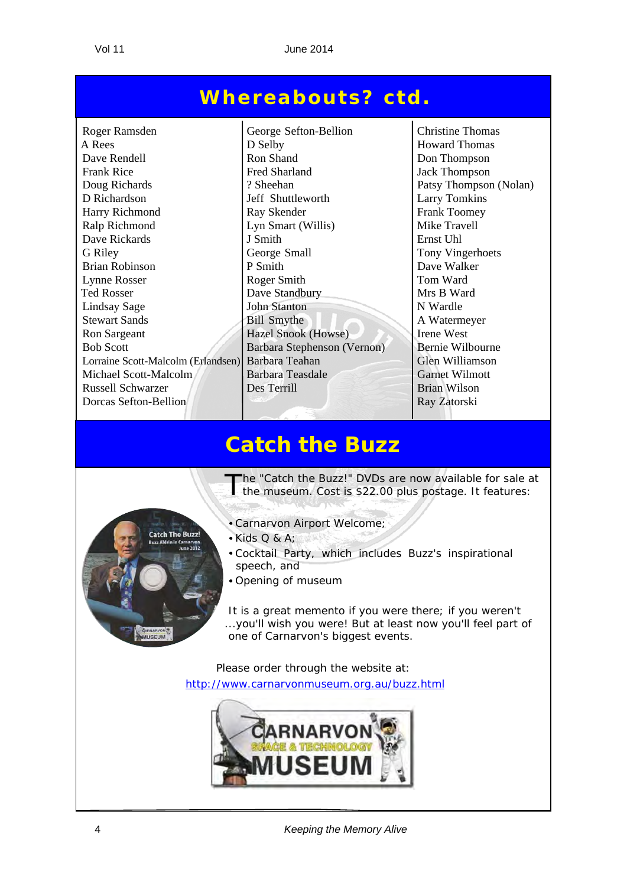#### **Whereabouts? ctd.**

Roger Ramsden George Sefton-Bellion Christine Thomas A Rees D Selby Howard Thomas Dave Rendell Ron Shand Ron Shand Don Thompson<br>Frank Rice Fred Sharland Jack Thompson Frank Rice **Fred Sharland** Jack Thompson Doug Richards <br> 2 Sheehan Patsy Thompson (Nolan) D Richardson Jeff Shuttleworth Larry Tomkins Harry Richmond Ray Skender Frank Toomey Ralp Richmond Lyn Smart (Willis) Mike Travell Dave Rickards J Smith Ernst Uhl G Riley George Small Tony Vingerhoets Brian Robinson P Smith Dave Walker Lynne Rosser Roger Smith Roger Smith Tom Ward Ted Rosser Dave Standbury Mrs B Ward Lindsay Sage John Stanton N Wardle Stewart Sands Bill Smythe A Watermeyer Ron Sargeant Hazel Snook (Howse) Irene West Bob Scott Barbara Stephenson (Vernon) Bernie Wilbourne Lorraine Scott-Malcolm (Erlandsen) Barbara Teahan Glen Williamson Glen Williamson Barbara Teasdale Garnet Wilmott Michael Scott-Malcolm Russell Schwarzer Des Terrill Brian Wilson **Dorcas Sefton-Bellion Ray Zatorski**  $\overline{a}$ 

#### **Catch the Buzz**



The "Catch the Buzz!" DVDs are now available for sale at the museum. Cost is \$22.00 plus postage. It features:

- Carnarvon Airport Welcome;
- $\bullet$  Kids Q & A:
- Cocktail Party, which includes Buzz's inspirational speech, and
- Opening of museum

It is a great memento if you were there; if you weren't ...you'll wish you were! But at least now you'll feel part of one of Carnarvon's biggest events.

Please order through the website at: http://www.carnarvonmuseum.org.au/buzz.html



4 *Keeping the Memory Alive*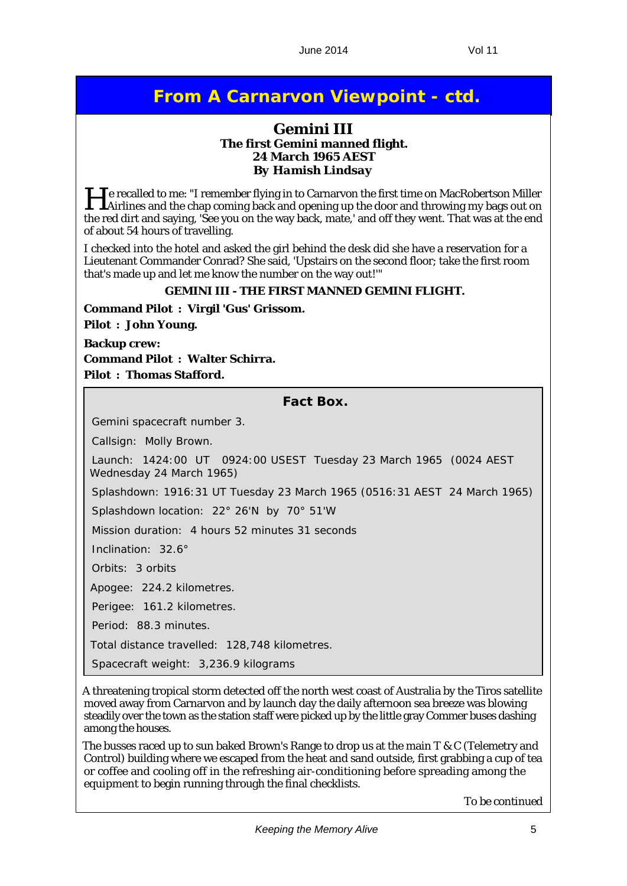#### **From A Carnarvon Viewpoint - ctd.**

#### **Gemini III The first Gemini manned flight. 24 March 1965 AEST** *By Hamish Lindsay*

He recalled to me: "I remember flying in to Carnarvon the first time on MacRobertson Miller Airlines and the chap coming back and opening up the door and throwing my bags out on the red dirt and saying, 'See you on the way back, mate,' and off they went. That was at the end of about 54 hours of travelling.

I checked into the hotel and asked the girl behind the desk did she have a reservation for a Lieutenant Commander Conrad? She said, 'Upstairs on the second floor; take the first room that's made up and let me know the number on the way out!'"

#### **GEMINI III - THE FIRST MANNED GEMINI FLIGHT.**

**Command Pilot : Virgil 'Gus' Grissom. Pilot : John Young.**

**Backup crew: Command Pilot : Walter Schirra. Pilot : Thomas Stafford.**

**Fact Box.**

Gemini spacecraft number 3.

Callsign: Molly Brown.

Launch: 1424:00 UT 0924:00 USEST Tuesday 23 March 1965 (0024 AEST Wednesday 24 March 1965)

Splashdown: 1916:31 UT Tuesday 23 March 1965 (0516:31 AEST 24 March 1965)

Splashdown location: 22° 26'N by 70° 51'W

Mission duration: 4 hours 52 minutes 31 seconds

Inclination: 32.6°

Orbits: 3 orbits

Apogee: 224.2 kilometres.

Perigee: 161.2 kilometres.

Period: 88.3 minutes.

Total distance travelled: 128,748 kilometres.

Spacecraft weight: 3,236.9 kilograms

A threatening tropical storm detected off the north west coast of Australia by the Tiros satellite moved away from Carnarvon and by launch day the daily afternoon sea breeze was blowing steadily over the town as the station staff were picked up by the little gray Commer buses dashing among the houses.

The busses raced up to sun baked Brown's Range to drop us at the main T & C (Telemetry and Control) building where we escaped from the heat and sand outside, first grabbing a cup of tea or coffee and cooling off in the refreshing air-conditioning before spreading among the equipment to begin running through the final checklists.

*To be continued*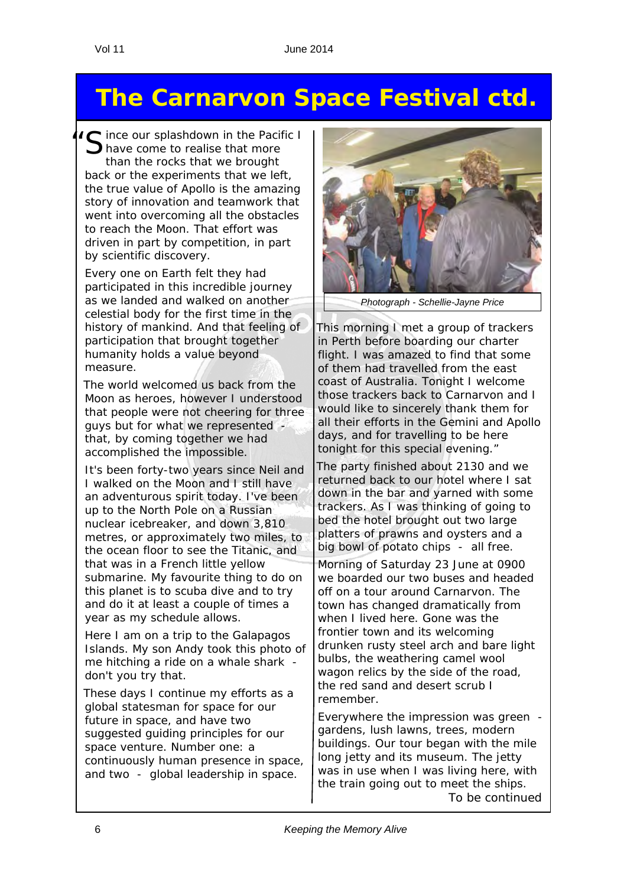## **The Carnarvon Space Festival ctd.**

C ince our splashdown in the Pacific I have come to realise that more than the rocks that we brought back or the experiments that we left, the true value of Apollo is the amazing story of innovation and teamwork that went into overcoming all the obstacles to reach the Moon. That effort was driven in part by competition, in part by scientific discovery.

Every one on Earth felt they had participated in this incredible journey as we landed and walked on another celestial body for the first time in the history of mankind. And that feeling of participation that brought together humanity holds a value beyond measure.

The world welcomed us back from the Moon as heroes, however I understood that people were not cheering for three guys but for what we represented that, by coming together we had accomplished the impossible.

It's been forty-two years since Neil and I walked on the Moon and I still have an adventurous spirit today. I've been up to the North Pole on a Russian nuclear icebreaker, and down 3,810 metres, or approximately two miles, to the ocean floor to see the Titanic, and that was in a French little yellow submarine. My favourite thing to do on this planet is to scuba dive and to try and do it at least a couple of times a year as my schedule allows.

Here I am on a trip to the Galapagos Islands. My son Andy took this photo of me hitching a ride on a whale shark don't you try that.

These days I continue my efforts as a global statesman for space for our future in space, and have two suggested guiding principles for our space venture. Number one: a continuously human presence in space, and two - global leadership in space.



*Photograph - Schellie-Jayne Price* 

This morning I met a group of trackers in Perth before boarding our charter flight. I was amazed to find that some of them had travelled from the east coast of Australia. Tonight I welcome those trackers back to Carnarvon and I would like to sincerely thank them for all their efforts in the Gemini and Apollo days, and for travelling to be here tonight for this special evening."

The party finished about 2130 and we returned back to our hotel where I sat down in the bar and yarned with some trackers. As I was thinking of going to bed the hotel brought out two large platters of prawns and oysters and a big bowl of potato chips - all free.

Morning of Saturday 23 June at 0900 we boarded our two buses and headed off on a tour around Carnarvon. The town has changed dramatically from when I lived here. Gone was the frontier town and its welcoming drunken rusty steel arch and bare light bulbs, the weathering camel wool wagon relics by the side of the road, the red sand and desert scrub I remember.

Everywhere the impression was green gardens, lush lawns, trees, modern buildings. Our tour began with the mile long jetty and its museum. The jetty was in use when I was living here, with the train going out to meet the ships. *To be continued*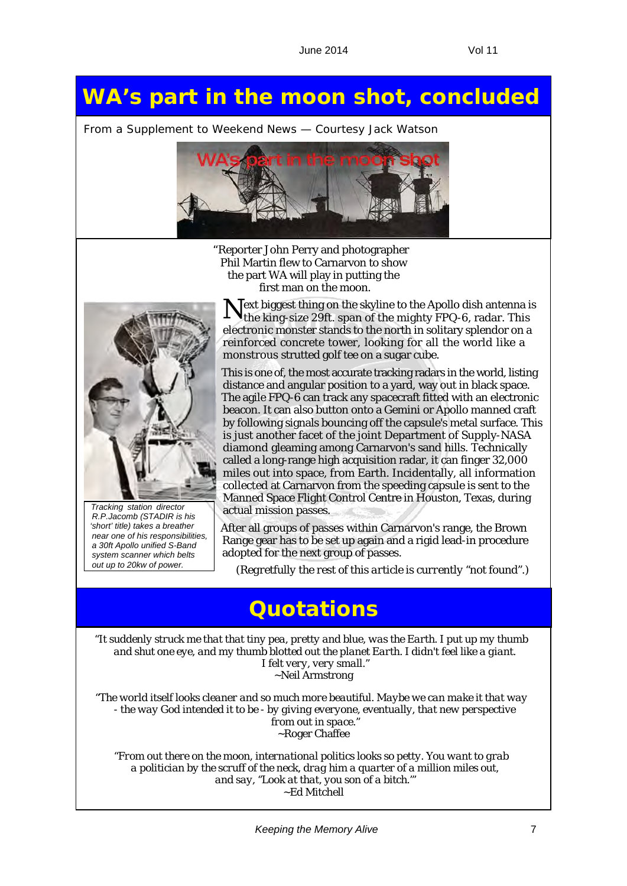## **WA's part in the moon shot, concluded**

*From a Supplement to Weekend News — Courtesy Jack Watson*



"Reporter John Perry and photographer Phil Martin flew to Carnarvon to show the part WA will play in putting the first man on the moon.



*Tracking station director R.P.Jacomb (STADIR is his 'short' title) takes a breather near one of his responsibilities, a 30ft Apollo unified S-Band system scanner which belts out up to 20kw of power.*

Text biggest thing on the skyline to the Apollo dish antenna is the king-size 29ft. span of the mighty FPQ-6, radar. This electronic monster stands to the north in solitary splendor on a reinforced concrete tower, looking for all the world like a monstrous strutted golf tee on a sugar cube.

This is one of, the most accurate tracking radars in the world, listing distance and angular position to a yard, way out in black space. The agile FPQ-6 can track any spacecraft fitted with an electronic beacon. It can also button onto a Gemini or Apollo manned craft by following signals bouncing off the capsule's metal surface. This is just another facet of the joint Department of Supply-NASA diamond gleaming among Carnarvon's sand hills. Technically called a long-range high acquisition radar, it can finger 32,000 miles out into space, from Earth. Incidentally, all information collected at Carnarvon from the speeding capsule is sent to the Manned Space Flight Control Centre in Houston, Texas, during actual mission passes.

After all groups of passes within Carnarvon's range, the Brown Range gear has to be set up again and a rigid lead-in procedure adopted for the next group of passes.

(*Regretfully the rest of this article is currently "not found".*)

#### **Quotations**

"*It suddenly struck me that that tiny pea, pretty and blue, was the Earth. I put up my thumb and shut one eye, and my thumb blotted out the planet Earth. I didn't feel like a giant. I felt very, very small.*" ~Neil Armstrong

"*The world itself looks cleaner and so much more beautiful. Maybe we can make it that way - the way God intended it to be - by giving everyone, eventually, that new perspective from out in space.*" ~Roger Chaffee

"*From out there on the moon, international politics looks so petty. You want to grab a politician by the scruff of the neck, drag him a quarter of a million miles out, and say, ''Look at that, you son of a bitch.'*" ~Ed Mitchell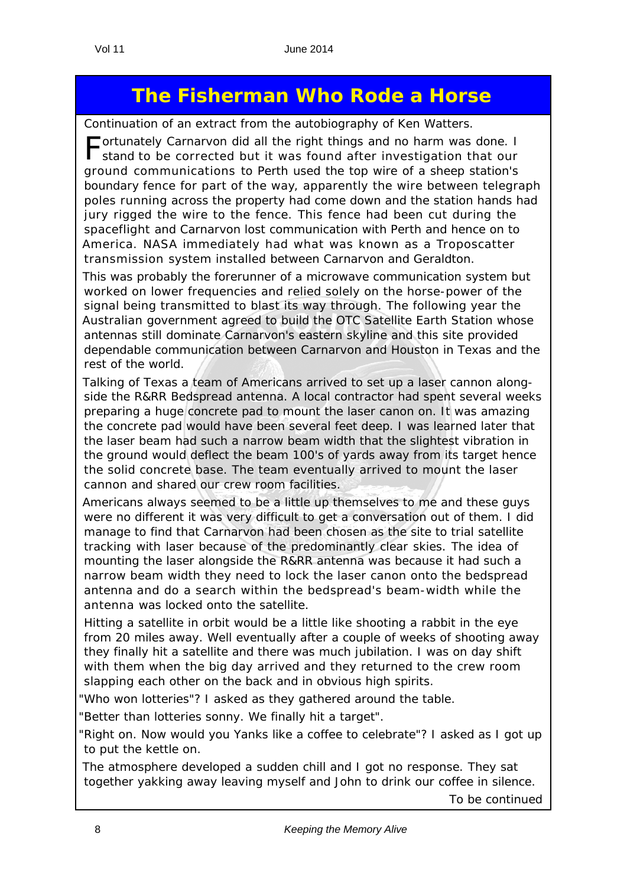## **The Fisherman Who Rode a Horse**

*Continuation of an extract from the autobiography of Ken Watters.*

Fortunately Carnarvon did all the right things and no harm was done. I stand to be corrected but it was found after investigation that our ground communications to Perth used the top wire of a sheep station's boundary fence for part of the way, apparently the wire between telegraph poles running across the property had come down and the station hands had jury rigged the wire to the fence. This fence had been cut during the spaceflight and Carnarvon lost communication with Perth and hence on to America. NASA immediately had what was known as a Troposcatter transmission system installed between Carnarvon and Geraldton.

This was probably the forerunner of a microwave communication system but worked on lower frequencies and relied solely on the horse-power of the signal being transmitted to blast its way through. The following year the Australian government agreed to build the OTC Satellite Earth Station whose antennas still dominate Carnarvon's eastern skyline and this site provided dependable communication between Carnarvon and Houston in Texas and the rest of the world.

Talking of Texas a team of Americans arrived to set up a laser cannon alongside the R&RR Bedspread antenna. A local contractor had spent several weeks preparing a huge concrete pad to mount the laser canon on. It was amazing the concrete pad would have been several feet deep. I was learned later that the laser beam had such a narrow beam width that the slightest vibration in the ground would deflect the beam 100's of yards away from its target hence the solid concrete base. The team eventually arrived to mount the laser cannon and shared our crew room facilities.

Americans always seemed to be a little up themselves to me and these guys were no different it was very difficult to get a conversation out of them. I did manage to find that Carnarvon had been chosen as the site to trial satellite tracking with laser because of the predominantly clear skies. The idea of mounting the laser alongside the R&RR antenna was because it had such a narrow beam width they need to lock the laser canon onto the bedspread antenna and do a search within the bedspread's beam-width while the antenna was locked onto the satellite.

Hitting a satellite in orbit would be a little like shooting a rabbit in the eye from 20 miles away. Well eventually after a couple of weeks of shooting away they finally hit a satellite and there was much jubilation. I was on day shift with them when the big day arrived and they returned to the crew room slapping each other on the back and in obvious high spirits.

"*Who won lotteries*"? I asked as they gathered around the table.

"*Better than lotteries sonny. We finally hit a target*".

"*Right on. Now would you Yanks like a coffee to celebrate*"? I asked as I got up to put the kettle on.

The atmosphere developed a sudden chill and I got no response. They sat together yakking away leaving myself and John to drink our coffee in silence.

*To be continued*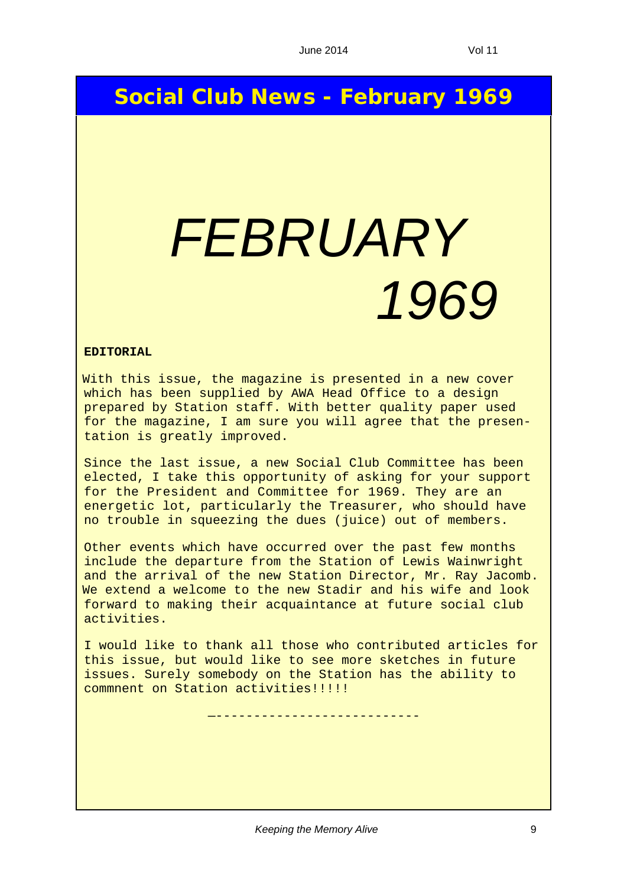### **Social Club News - February 1969**

# *FEBRUARY 1969*

#### **EDITORIAL**

With this issue, the magazine is presented in a new cover which has been supplied by AWA Head Office to a design prepared by Station staff. With better quality paper used for the magazine, I am sure you will agree that the presentation is greatly improved.

Since the last issue, a new Social Club Committee has been elected, I take this opportunity of asking for your support for the President and Committee for 1969. They are an energetic lot, particularly the Treasurer, who should have no trouble in squeezing the dues (juice) out of members.

Other events which have occurred over the past few months include the departure from the Station of Lewis Wainwright and the arrival of the new Station Director, Mr. Ray Jacomb. We extend a welcome to the new Stadir and his wife and look forward to making their acquaintance at future social club activities.

I would like to thank all those who contributed articles for this issue, but would like to see more sketches in future issues. Surely somebody on the Station has the ability to commnent on Station activities!!!!!

—---------------------------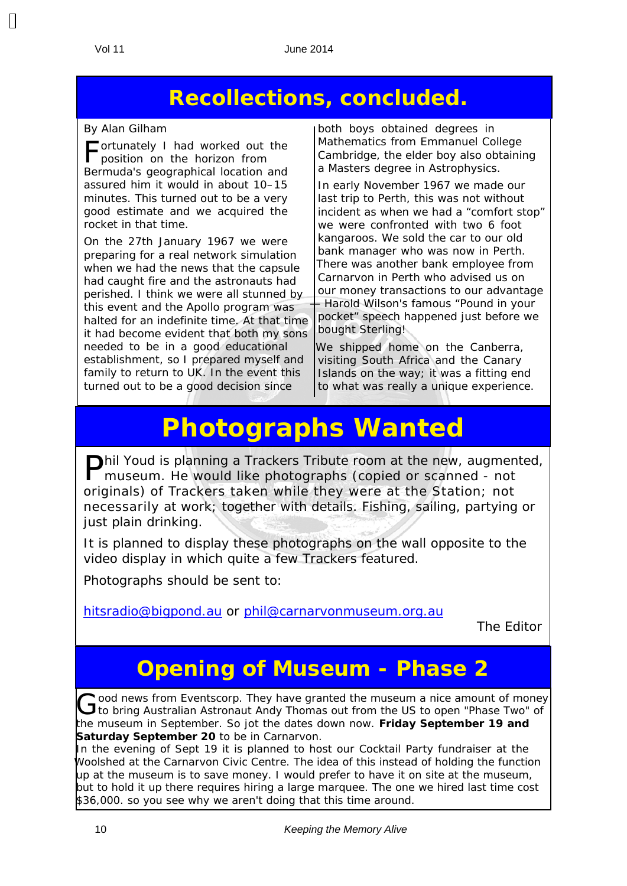$\mathbf{\mathbf{\mathsf{H}}}$ 

## **Recollections, concluded.**

#### *By Alan Gilham*

Fortunately I had worked out the position on the horizon from Bermuda's geographical location and assured him it would in about 10–15 minutes. This turned out to be a very good estimate and we acquired the rocket in that time.

On the 27th January 1967 we were preparing for a real network simulation when we had the news that the capsule had caught fire and the astronauts had perished. I think we were all stunned by this event and the Apollo program was halted for an indefinite time. At that time it had become evident that both my sons needed to be in a good educational establishment, so I prepared myself and family to return to UK. In the event this turned out to be a good decision since

both boys obtained degrees in Mathematics from Emmanuel College Cambridge, the elder boy also obtaining a Masters degree in Astrophysics.

In early November 1967 we made our last trip to Perth, this was not without incident as when we had a "comfort stop" we were confronted with two 6 foot kangaroos. We sold the car to our old bank manager who was now in Perth. There was another bank employee from Carnarvon in Perth who advised us on our money transactions to our advantage — Harold Wilson's famous "Pound in your pocket" speech happened just before we bought Sterling!

We shipped home on the Canberra, visiting South Africa and the Canary Islands on the way; it was a fitting end to what was really a unique experience.

# **Photographs Wanted**

Phil Youd is planning a Trackers Tribute room at the new, augmented, museum. He would like photographs (copied or scanned - not originals) of Trackers taken while they were at the Station; not necessarily at work; together with details. Fishing, sailing, partying or just plain drinking.

It is planned to display these photographs on the wall opposite to the video display in which quite a few Trackers featured.

Photographs should be sent to:

hitsradio@bigpond.au or phil@carnarvonmuseum.org.au

*The Editor*

## **Opening of Museum - Phase 2**

Good news from Eventscorp. They have granted the museum a nice amount of money<br>Gto bring Australian Astronaut Andy Thomas out from the US to open "Phase Two" of the museum in September. So jot the dates down now. **Friday September 19 and Saturday September 20** to be in Carnarvon.

In the evening of Sept 19 it is planned to host our Cocktail Party fundraiser at the Woolshed at the Carnarvon Civic Centre. The idea of this instead of holding the function up at the museum is to save money. I would prefer to have it on site at the museum, but to hold it up there requires hiring a large marquee. The one we hired last time cost \$36,000. so you see why we aren't doing that this time around.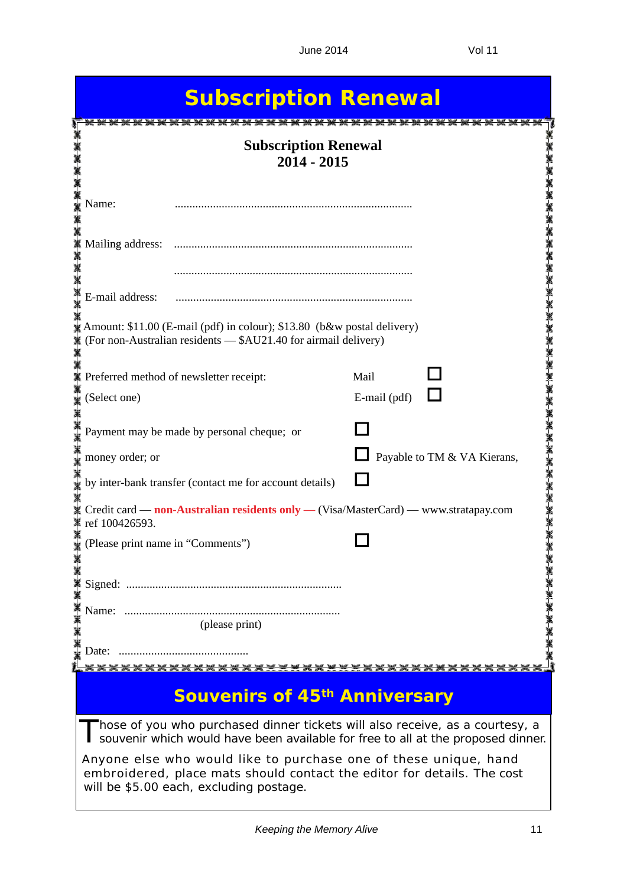| <b>Subscription Renewal</b>                                                                                                                                                            |                             |  |  |
|----------------------------------------------------------------------------------------------------------------------------------------------------------------------------------------|-----------------------------|--|--|
| <b>Subscription Renewal</b><br>$2014 - 2015$                                                                                                                                           |                             |  |  |
| Name:                                                                                                                                                                                  |                             |  |  |
| Mailing address:                                                                                                                                                                       |                             |  |  |
| E-mail address:                                                                                                                                                                        |                             |  |  |
| Amount: \$11.00 (E-mail (pdf) in colour); \$13.80 (b&w postal delivery)<br>(For non-Australian residents - \$AU21.40 for airmail delivery)                                             |                             |  |  |
| Preferred method of newsletter receipt:                                                                                                                                                | Mail                        |  |  |
| (Select one)                                                                                                                                                                           | E-mail (pdf)                |  |  |
| Payment may be made by personal cheque; or                                                                                                                                             |                             |  |  |
| money order; or                                                                                                                                                                        | Payable to TM & VA Kierans, |  |  |
| by inter-bank transfer (contact me for account details)                                                                                                                                |                             |  |  |
| Credit card — non-Australian residents only — (Visa/MasterCard) — www.stratapay.com<br>ref 100426593.                                                                                  |                             |  |  |
| (Please print name in "Comments")                                                                                                                                                      |                             |  |  |
|                                                                                                                                                                                        |                             |  |  |
| (please print)                                                                                                                                                                         |                             |  |  |
|                                                                                                                                                                                        |                             |  |  |
| ******                                                                                                                                                                                 |                             |  |  |
| <b>Souvenirs of 45th Anniversary</b>                                                                                                                                                   |                             |  |  |
| Those of you who purchased dinner tickets will also receive, as a courtesy, a<br>souvenir which would have been available for free to all at the proposed dinner.                      |                             |  |  |
| Anyone else who would like to purchase one of these unique, hand<br>embroidered, place mats should contact the editor for details. The cost<br>will be \$5.00 each, excluding postage. |                             |  |  |